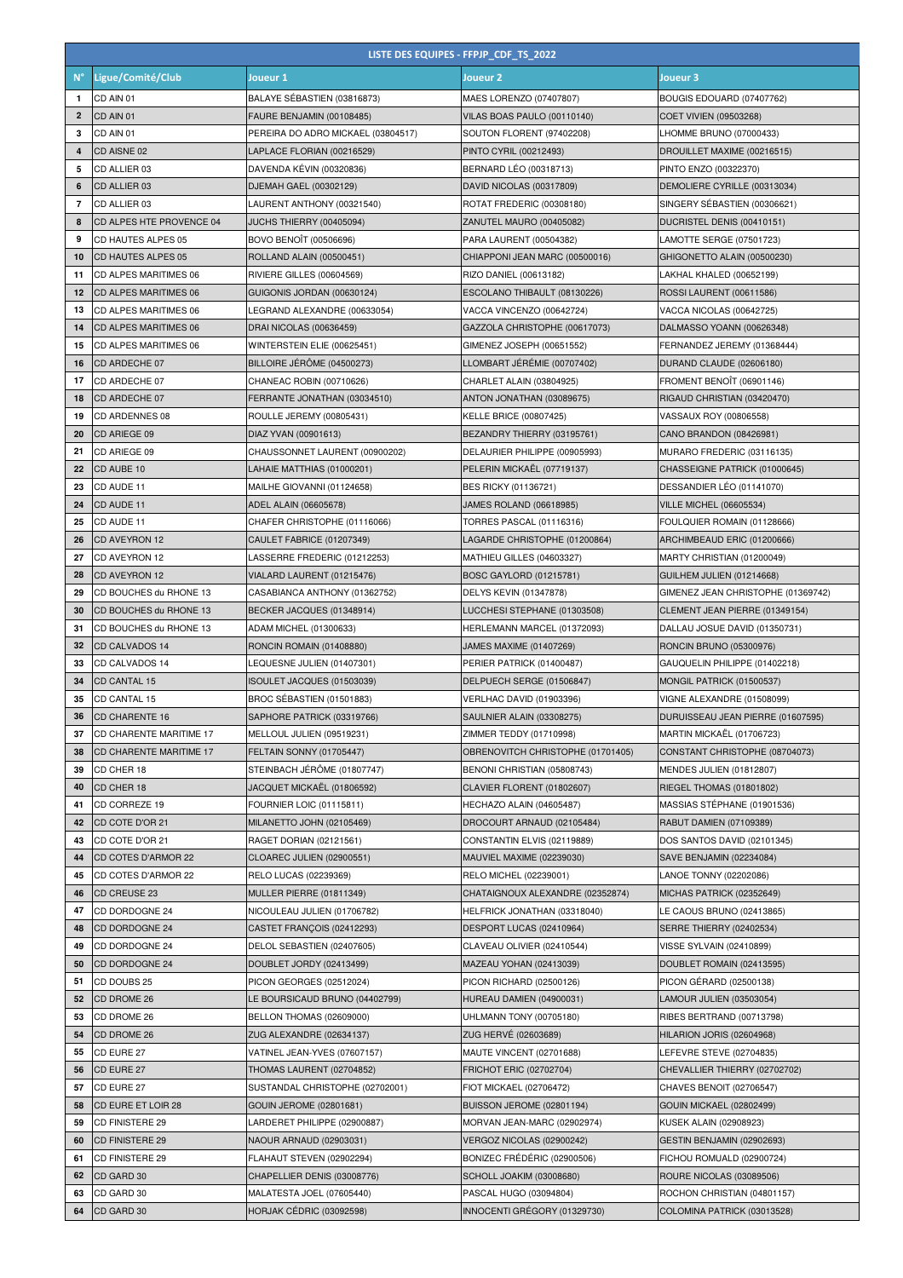|                | LISTE DES EQUIPES - FFPJP_CDF_TS_2022 |                                                            |                                                           |                                                            |
|----------------|---------------------------------------|------------------------------------------------------------|-----------------------------------------------------------|------------------------------------------------------------|
| $N^{\circ}$    | Ligue/Comité/Club                     | Joueur 1                                                   | Joueur <sub>2</sub>                                       | Joueur 3                                                   |
| $\mathbf{1}$   | CD AIN 01                             | BALAYE SÉBASTIEN (03816873)                                | MAES LORENZO (07407807)                                   | BOUGIS EDOUARD (07407762)                                  |
| $\overline{2}$ | CD AIN 01                             | FAURE BENJAMIN (00108485)                                  | VILAS BOAS PAULO (00110140)                               | COET VIVIEN (09503268)                                     |
| з              | CD AIN 01                             | PEREIRA DO ADRO MICKAEL (03804517)                         | SOUTON FLORENT (97402208)                                 | LHOMME BRUNO (07000433)                                    |
| 4              | CD AISNE 02                           | LAPLACE FLORIAN (00216529)                                 | PINTO CYRIL (00212493)                                    | DROUILLET MAXIME (00216515)                                |
| 5              | CD ALLIER 03                          | DAVENDA KÉVIN (00320836)                                   | BERNARD LÉO (00318713)                                    | PINTO ENZO (00322370)                                      |
| 6              | CD ALLIER 03                          | DJEMAH GAEL (00302129)                                     | DAVID NICOLAS (00317809)                                  | DEMOLIERE CYRILLE (00313034)                               |
| $\overline{7}$ | CD ALLIER 03                          | LAURENT ANTHONY (00321540)                                 | ROTAT FREDERIC (00308180)                                 | SINGERY SÉBASTIEN (00306621)                               |
| 8              | CD ALPES HTE PROVENCE 04              | JUCHS THIERRY (00405094)                                   | ZANUTEL MAURO (00405082)                                  | DUCRISTEL DENIS (00410151)                                 |
| 9              | CD HAUTES ALPES 05                    | BOVO BENOÏT (00506696)                                     | PARA LAURENT (00504382)                                   | LAMOTTE SERGE (07501723)                                   |
| 10             | CD HAUTES ALPES 05                    | ROLLAND ALAIN (00500451)                                   | CHIAPPONI JEAN MARC (00500016)                            | GHIGONETTO ALAIN (00500230)                                |
| 11             | CD ALPES MARITIMES 06                 | RIVIERE GILLES (00604569)                                  | RIZO DANIEL (00613182)                                    | LAKHAL KHALED (00652199)                                   |
| 12             | CD ALPES MARITIMES 06                 | GUIGONIS JORDAN (00630124)                                 | ESCOLANO THIBAULT (08130226)                              | ROSSI LAURENT (00611586)                                   |
| 13             | CD ALPES MARITIMES 06                 | LEGRAND ALEXANDRE (00633054)                               | VACCA VINCENZO (00642724)                                 | VACCA NICOLAS (00642725)                                   |
| 14             | <b>CD ALPES MARITIMES 06</b>          | DRAI NICOLAS (00636459)                                    | GAZZOLA CHRISTOPHE (00617073)                             | DALMASSO YOANN (00626348)                                  |
| 15             | CD ALPES MARITIMES 06                 | WINTERSTEIN ELIE (00625451)                                | GIMENEZ JOSEPH (00651552)                                 | FERNANDEZ JEREMY (01368444)                                |
| 16             | <b>CD ARDECHE 07</b>                  | BILLOIRE JÉRÖME (04500273)                                 | LLOMBART JÉRÉMIE (00707402)                               | DURAND CLAUDE (02606180)                                   |
| 17             | CD ARDECHE 07                         | CHANEAC ROBIN (00710626)                                   | CHARLET ALAIN (03804925)                                  | FROMENT BENOÎT (06901146)                                  |
| 18             | CD ARDECHE 07                         | FERRANTE JONATHAN (03034510)                               | ANTON JONATHAN (03089675)                                 | RIGAUD CHRISTIAN (03420470)                                |
| 19             | CD ARDENNES 08                        | ROULLE JEREMY (00805431)                                   | KELLE BRICE (00807425)                                    | VASSAUX ROY (00806558)                                     |
| 20             | CD ARIEGE 09                          | DIAZ YVAN (00901613)                                       | BEZANDRY THIERRY (03195761)                               | CANO BRANDON (08426981)                                    |
| 21             | CD ARIEGE 09                          | CHAUSSONNET LAURENT (00900202)                             | DELAURIER PHILIPPE (00905993)                             | MURARO FREDERIC (03116135)                                 |
| 22             | CD AUBE 10                            | LAHAIE MATTHIAS (01000201)                                 | PELERIN MICKAËL (07719137)                                | CHASSEIGNE PATRICK (01000645)                              |
| 23             | CD AUDE 11                            | MAILHE GIOVANNI (01124658)                                 | BES RICKY (01136721)                                      | DESSANDIER LÉO (01141070)                                  |
| 24<br>25       | CD AUDE 11<br>CD AUDE 11              | ADEL ALAIN (06605678)                                      | JAMES ROLAND (06618985)                                   | <b>VILLE MICHEL (06605534)</b>                             |
| 26             | <b>CD AVEYRON 12</b>                  | CHAFER CHRISTOPHE (01116066)<br>CAULET FABRICE (01207349)  | TORRES PASCAL (01116316)<br>LAGARDE CHRISTOPHE (01200864) | FOULQUIER ROMAIN (01128666)<br>ARCHIMBEAUD ERIC (01200666) |
| 27             | CD AVEYRON 12                         | LASSERRE FREDERIC (01212253)                               | MATHIEU GILLES (04603327)                                 | MARTY CHRISTIAN (01200049)                                 |
| 28             | CD AVEYRON 12                         | VIALARD LAURENT (01215476)                                 | BOSC GAYLORD (01215781)                                   | GUILHEM JULIEN (01214668)                                  |
| 29             | CD BOUCHES du RHONE 13                | CASABIANCA ANTHONY (01362752)                              | DELYS KEVIN (01347878)                                    | GIMENEZ JEAN CHRISTOPHE (01369742)                         |
| 30             | CD BOUCHES du RHONE 13                | BECKER JACQUES (01348914)                                  | LUCCHESI STEPHANE (01303508)                              | CLEMENT JEAN PIERRE (01349154)                             |
| 31             | CD BOUCHES du RHONE 13                | ADAM MICHEL (01300633)                                     | HERLEMANN MARCEL (01372093)                               | DALLAU JOSUE DAVID (01350731)                              |
| 32             | CD CALVADOS 14                        | RONCIN ROMAIN (01408880)                                   | JAMES MAXIME (01407269)                                   | RONCIN BRUNO (05300976)                                    |
| 33             | CD CALVADOS 14                        | LEQUESNE JULIEN (01407301)                                 | PERIER PATRICK (01400487)                                 | GAUQUELIN PHILIPPE (01402218)                              |
| 34             | <b>CD CANTAL 15</b>                   | ISOULET JACQUES (01503039)                                 | DELPUECH SERGE (01506847)                                 | MONGIL PATRICK (01500537)                                  |
| 35             | CD CANTAL 15                          | BROC SÉBASTIEN (01501883)                                  | VERLHAC DAVID (01903396)                                  | VIGNE ALEXANDRE (01508099)                                 |
| 36             | <b>CD CHARENTE 16</b>                 | SAPHORE PATRICK (03319766)                                 | SAULNIER ALAIN (03308275)                                 | DURUISSEAU JEAN PIERRE (01607595)                          |
| 37             | CD CHARENTE MARITIME 17               | MELLOUL JULIEN (09519231)                                  | ZIMMER TEDDY (01710998)                                   | MARTIN MICKAEL (01706723)                                  |
| 38             | CD CHARENTE MARITIME 17               | FELTAIN SONNY (01705447)                                   | OBRENOVITCH CHRISTOPHE (01701405)                         | CONSTANT CHRISTOPHE (08704073)                             |
| 39             | CD CHER 18                            | STEINBACH JÉRÔME (01807747)                                | BENONI CHRISTIAN (05808743)                               | MENDES JULIEN (01812807)                                   |
| 40             | CD CHER 18                            | JACQUET MICKAËL (01806592)                                 | CLAVIER FLORENT (01802607)                                | RIEGEL THOMAS (01801802)                                   |
| 41             | CD CORREZE 19                         | FOURNIER LOIC (01115811)                                   | HECHAZO ALAIN (04605487)                                  | MASSIAS STÉPHANE (01901536)                                |
| 42             | CD COTE D'OR 21                       | MILANETTO JOHN (02105469)                                  | DROCOURT ARNAUD (02105484)                                | RABUT DAMIEN (07109389)                                    |
| 43             | CD COTE D'OR 21                       | RAGET DORIAN (02121561)                                    | CONSTANTIN ELVIS (02119889)                               | DOS SANTOS DAVID (02101345)                                |
| 44             | CD COTES D'ARMOR 22                   | CLOAREC JULIEN (02900551)                                  | MAUVIEL MAXIME (02239030)                                 | SAVE BENJAMIN (02234084)                                   |
| 45             | CD COTES D'ARMOR 22                   | RELO LUCAS (02239369)                                      | RELO MICHEL (02239001)                                    | LANOE TONNY (02202086)                                     |
| 46             | CD CREUSE 23                          | <b>MULLER PIERRE (01811349)</b>                            | CHATAIGNOUX ALEXANDRE (02352874)                          | MICHAS PATRICK (02352649)                                  |
| 47             | CD DORDOGNE 24                        | NICOULEAU JULIEN (01706782)                                | HELFRICK JONATHAN (03318040)                              | LE CAOUS BRUNO (02413865)                                  |
| 48             | CD DORDOGNE 24                        | CASTET FRANÇOIS (02412293)                                 | DESPORT LUCAS (02410964)                                  | SERRE THIERRY (02402534)                                   |
| 49             | CD DORDOGNE 24                        | DELOL SEBASTIEN (02407605)                                 | CLAVEAU OLIVIER (02410544)                                | VISSE SYLVAIN (02410899)                                   |
| 50             | CD DORDOGNE 24                        | DOUBLET JORDY (02413499)                                   | MAZEAU YOHAN (02413039)                                   | DOUBLET ROMAIN (02413595)<br>PICON GÉRARD (02500138)       |
| 51             | CD DOUBS 25<br>CD DROME 26            | PICON GEORGES (02512024)<br>LE BOURSICAUD BRUNO (04402799) | PICON RICHARD (02500126)<br>HUREAU DAMIEN (04900031)      | LAMOUR JULIEN (03503054)                                   |
| 52<br>53       | CD DROME 26                           | BELLON THOMAS (02609000)                                   | UHLMANN TONY (00705180)                                   | RIBES BERTRAND (00713798)                                  |
| 54             | CD DROME 26                           | ZUG ALEXANDRE (02634137)                                   | ZUG HERVÉ (02603689)                                      | HILARION JORIS (02604968)                                  |
| 55             | CD EURE 27                            | VATINEL JEAN-YVES (07607157)                               | MAUTE VINCENT (02701688)                                  | LEFEVRE STEVE (02704835)                                   |
| 56             | CD EURE 27                            | THOMAS LAURENT (02704852)                                  | FRICHOT ERIC (02702704)                                   | CHEVALLIER THIERRY (02702702)                              |
| 57             | CD EURE 27                            | SUSTANDAL CHRISTOPHE (02702001)                            | FIOT MICKAEL (02706472)                                   | CHAVES BENOIT (02706547)                                   |
| 58             | CD EURE ET LOIR 28                    | GOUIN JEROME (02801681)                                    | BUISSON JEROME (02801194)                                 | GOUIN MICKAEL (02802499)                                   |
| 59             | CD FINISTERE 29                       | LARDERET PHILIPPE (02900887)                               | MORVAN JEAN-MARC (02902974)                               | KUSEK ALAIN (02908923)                                     |
| 60             | CD FINISTERE 29                       | NAOUR ARNAUD (02903031)                                    | VERGOZ NICOLAS (02900242)                                 | GESTIN BENJAMIN (02902693)                                 |
| 61             | CD FINISTERE 29                       | FLAHAUT STEVEN (02902294)                                  | BONIZEC FRÉDÉRIC (02900506)                               | FICHOU ROMUALD (02900724)                                  |
| 62             | CD GARD 30                            | CHAPELLIER DENIS (03008776)                                | SCHOLL JOAKIM (03008680)                                  | ROURE NICOLAS (03089506)                                   |
| 63             | CD GARD 30                            | MALATESTA JOEL (07605440)                                  | PASCAL HUGO (03094804)                                    | ROCHON CHRISTIAN (04801157)                                |
| 64             | CD GARD 30                            | HORJAK CÉDRIC (03092598)                                   | INNOCENTI GRÉGORY (01329730)                              | COLOMINA PATRICK (03013528)                                |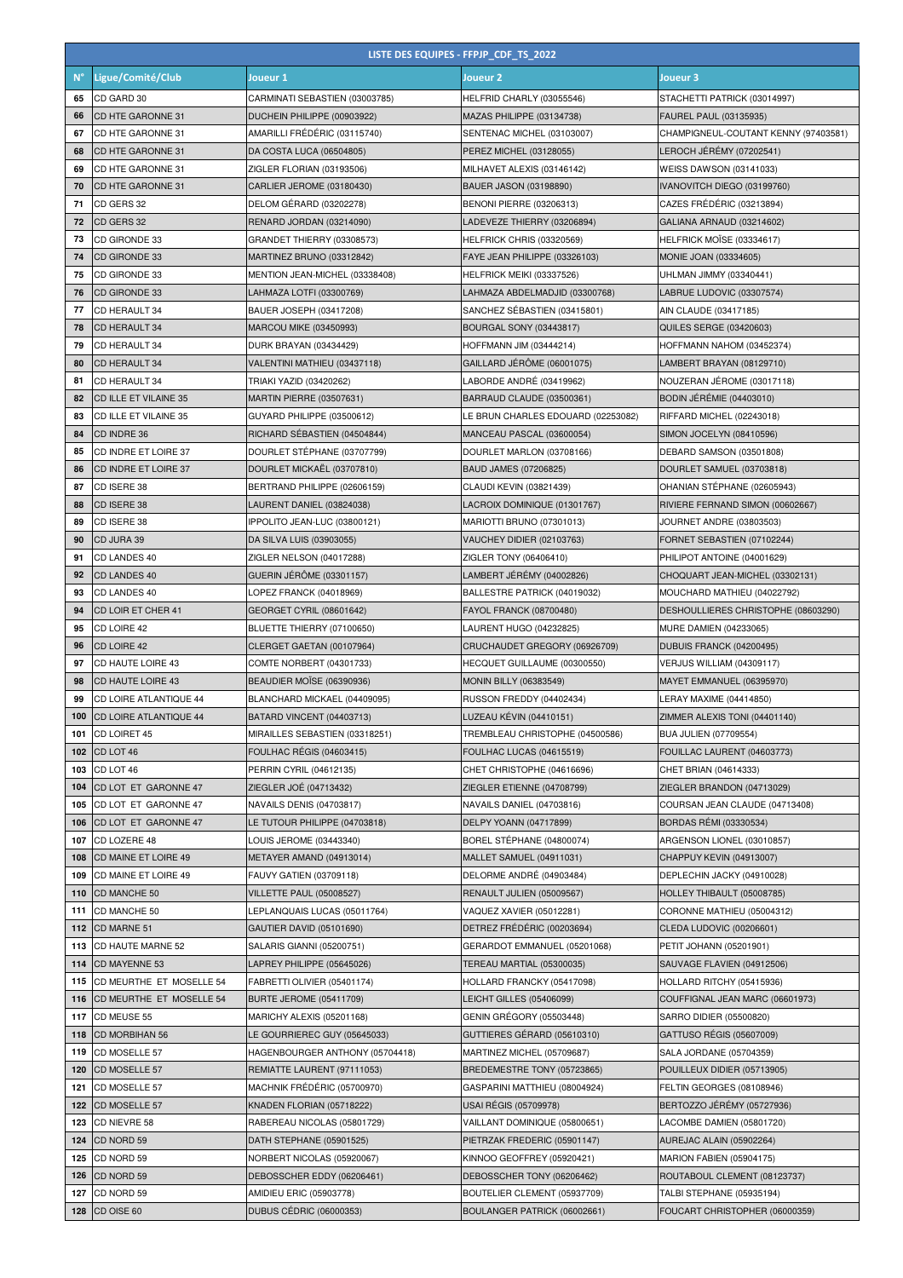|             | LISTE DES EQUIPES - FFPJP_CDF_TS_2022 |                                                         |                                                           |                                                            |  |
|-------------|---------------------------------------|---------------------------------------------------------|-----------------------------------------------------------|------------------------------------------------------------|--|
| $N^{\circ}$ | Ligue/Comité/Club                     | Joueur 1                                                | Joueur <sub>2</sub>                                       | Joueur 3                                                   |  |
| 65          | CD GARD 30                            | CARMINATI SEBASTIEN (03003785)                          | HELFRID CHARLY (03055546)                                 | STACHETTI PATRICK (03014997)                               |  |
| 66          | CD HTE GARONNE 31                     | DUCHEIN PHILIPPE (00903922)                             | MAZAS PHILIPPE (03134738)                                 | FAUREL PAUL (03135935)                                     |  |
| 67          | CD HTE GARONNE 31                     | AMARILLI FRÉDÉRIC (03115740)                            | SENTENAC MICHEL (03103007)                                | CHAMPIGNEUL-COUTANT KENNY (97403581)                       |  |
| 68          | CD HTE GARONNE 31                     | DA COSTA LUCA (06504805)                                | PEREZ MICHEL (03128055)                                   | LEROCH JÉRÉMY (07202541)                                   |  |
| 69          | CD HTE GARONNE 31                     | ZIGLER FLORIAN (03193506)                               | MILHAVET ALEXIS (03146142)                                | <b>WEISS DAWSON (03141033)</b>                             |  |
| 70          | CD HTE GARONNE 31                     | CARLIER JEROME (03180430)                               | BAUER JASON (03198890)                                    | IVANOVITCH DIEGO (03199760)                                |  |
| 71          | CD GERS 32                            | DELOM GÉRARD (03202278)                                 | BENONI PIERRE (03206313)                                  | CAZES FRÉDÉRIC (03213894)                                  |  |
| 72          | CD GERS 32                            | RENARD JORDAN (03214090)                                | LADEVEZE THIERRY (03206894)                               | GALIANA ARNAUD (03214602)                                  |  |
| 73          | CD GIRONDE 33                         | GRANDET THIERRY (03308573)                              | HELFRICK CHRIS (03320569)                                 | HELFRICK MOISE (03334617)                                  |  |
| 74          | CD GIRONDE 33                         | MARTINEZ BRUNO (03312842)                               | FAYE JEAN PHILIPPE (03326103)                             | MONIE JOAN (03334605)                                      |  |
| 75          | CD GIRONDE 33                         | MENTION JEAN-MICHEL (03338408)                          | HELFRICK MEIKI (03337526)                                 | UHLMAN JIMMY (03340441)                                    |  |
| 76          | CD GIRONDE 33                         | LAHMAZA LOTFI (03300769)                                | LAHMAZA ABDELMADJID (03300768)                            | LABRUE LUDOVIC (03307574)                                  |  |
| 77          | CD HERAULT 34                         | BAUER JOSEPH (03417208)                                 | SANCHEZ SÉBASTIEN (03415801)                              | AIN CLAUDE (03417185)                                      |  |
| 78          | CD HERAULT 34                         | MARCOU MIKE (03450993)                                  | BOURGAL SONY (03443817)                                   | <b>QUILES SERGE (03420603)</b>                             |  |
| 79          | CD HERAULT 34                         | DURK BRAYAN (03434429)                                  | HOFFMANN JIM (03444214)                                   | HOFFMANN NAHOM (03452374)                                  |  |
| 80          | CD HERAULT 34                         | VALENTINI MATHIEU (03437118)                            | GAILLARD JÉRÔME (06001075)                                | LAMBERT BRAYAN (08129710)                                  |  |
| 81          | CD HERAULT 34                         | TRIAKI YAZID (03420262)                                 | LABORDE ANDRÉ (03419962)                                  | NOUZERAN JÉROME (03017118)                                 |  |
| 82          | CD ILLE ET VILAINE 35                 | MARTIN PIERRE (03507631)                                | BARRAUD CLAUDE (03500361)                                 | BODIN JÉRÉMIE (04403010)                                   |  |
| 83          | CD ILLE ET VILAINE 35                 | GUYARD PHILIPPE (03500612)                              | LE BRUN CHARLES EDOUARD (02253082)                        | RIFFARD MICHEL (02243018)                                  |  |
| 84          | CD INDRE 36                           | RICHARD SÉBASTIEN (04504844)                            | MANCEAU PASCAL (03600054)                                 | SIMON JOCELYN (08410596)                                   |  |
| 85          | CD INDRE ET LOIRE 37                  | DOURLET STÉPHANE (03707799)                             | DOURLET MARLON (03708166)                                 | DEBARD SAMSON (03501808)                                   |  |
| 86          | CD INDRE ET LOIRE 37                  | DOURLET MICKAËL (03707810)                              | BAUD JAMES (07206825)                                     | DOURLET SAMUEL (03703818)                                  |  |
| 87          | CD ISERE 38                           | BERTRAND PHILIPPE (02606159)                            | CLAUDI KEVIN (03821439)                                   | OHANIAN STÉPHANE (02605943)                                |  |
| 88          | CD ISERE 38                           | LAURENT DANIEL (03824038)                               | LACROIX DOMINIQUE (01301767)                              | RIVIERE FERNAND SIMON (00602667)                           |  |
| 89<br>90    | CD ISERE 38<br>CD JURA 39             | IPPOLITO JEAN-LUC (03800121)                            | MARIOTTI BRUNO (07301013)                                 | JOURNET ANDRE (03803503)                                   |  |
| 91          | CD LANDES 40                          | DA SILVA LUIS (03903055)<br>ZIGLER NELSON (04017288)    | VAUCHEY DIDIER (02103763)<br>ZIGLER TONY (06406410)       | FORNET SEBASTIEN (07102244)<br>PHILIPOT ANTOINE (04001629) |  |
| 92          | <b>CD LANDES 40</b>                   | GUERIN JÉRÖME (03301157)                                | LAMBERT JÉRÉMY (04002826)                                 | CHOQUART JEAN-MICHEL (03302131)                            |  |
| 93          | CD LANDES 40                          | LOPEZ FRANCK (04018969)                                 | BALLESTRE PATRICK (04019032)                              | MOUCHARD MATHIEU (04022792)                                |  |
| 94          | CD LOIR ET CHER 41                    | GEORGET CYRIL (08601642)                                | FAYOL FRANCK (08700480)                                   | DESHOULLIERES CHRISTOPHE (08603290)                        |  |
| 95          | CD LOIRE 42                           | BLUETTE THIERRY (07100650)                              | LAURENT HUGO (04232825)                                   | MURE DAMIEN (04233065)                                     |  |
| 96          | CD LOIRE 42                           | CLERGET GAETAN (00107964)                               | CRUCHAUDET GREGORY (06926709)                             | DUBUIS FRANCK (04200495)                                   |  |
| 97          | CD HAUTE LOIRE 43                     | COMTE NORBERT (04301733)                                | HECQUET GUILLAUME (00300550)                              | VERJUS WILLIAM (04309117)                                  |  |
| 98          | CD HAUTE LOIRE 43                     | BEAUDIER MOISE (06390936)                               | <b>MONIN BILLY (06383549)</b>                             | MAYET EMMANUEL (06395970)                                  |  |
| 99          | CD LOIRE ATLANTIQUE 44                | BLANCHARD MICKAEL (04409095)                            | RUSSON FREDDY (04402434)                                  | LERAY MAXIME (04414850)                                    |  |
| 100         | <b>CD LOIRE ATLANTIQUE 44</b>         | BATARD VINCENT (04403713)                               | LUZEAU KÉVIN (04410151)                                   | ZIMMER ALEXIS TONI (04401140)                              |  |
| 101         | CD LOIRET 45                          | MIRAILLES SEBASTIEN (03318251)                          | TREMBLEAU CHRISTOPHE (04500586)                           | BUA JULIEN (07709554)                                      |  |
| 102         | CD LOT 46                             | FOULHAC RÉGIS (04603415)                                | <b>FOULHAC LUCAS (04615519)</b>                           | FOUILLAC LAURENT (04603773)                                |  |
| 103         | CD LOT 46                             | PERRIN CYRIL (04612135)                                 | CHET CHRISTOPHE (04616696)                                | CHET BRIAN (04614333)                                      |  |
| 104         | CD LOT ET GARONNE 47                  | ZIEGLER JOÉ (04713432)                                  | ZIEGLER ETIENNE (04708799)                                | ZIEGLER BRANDON (04713029)                                 |  |
| 105         | CD LOT ET GARONNE 47                  | NAVAILS DENIS (04703817)                                | NAVAILS DANIEL (04703816)                                 | COURSAN JEAN CLAUDE (04713408)                             |  |
| 106         | CD LOT ET GARONNE 47                  | LE TUTOUR PHILIPPE (04703818)                           | DELPY YOANN (04717899)                                    | <b>BORDAS RÉMI (03330534)</b>                              |  |
| 107         | CD LOZERE 48                          | LOUIS JEROME (03443340)                                 | BOREL STÉPHANE (04800074)                                 | ARGENSON LIONEL (03010857)                                 |  |
| 108         | CD MAINE ET LOIRE 49                  | METAYER AMAND (04913014)                                | MALLET SAMUEL (04911031)                                  | CHAPPUY KEVIN (04913007)                                   |  |
| 109         | CD MAINE ET LOIRE 49                  | FAUVY GATIEN (03709118)                                 | DELORME ANDRÉ (04903484)                                  | DEPLECHIN JACKY (04910028)                                 |  |
| 110         | CD MANCHE 50                          | <b>VILLETTE PAUL (05008527)</b>                         | RENAULT JULIEN (05009567)                                 | HOLLEY THIBAULT (05008785)                                 |  |
| 111         | CD MANCHE 50                          | LEPLANQUAIS LUCAS (05011764)                            | VAQUEZ XAVIER (05012281)                                  | CORONNE MATHIEU (05004312)                                 |  |
| 112         | CD MARNE 51                           | GAUTIER DAVID (05101690)                                | DETREZ FRÉDÉRIC (00203694)                                | CLEDA LUDOVIC (00206601)                                   |  |
| 113         | CD HAUTE MARNE 52<br>CD MAYENNE 53    | SALARIS GIANNI (05200751)<br>LAPREY PHILIPPE (05645026) | GERARDOT EMMANUEL (05201068)<br>TEREAU MARTIAL (05300035) | PETIT JOHANN (05201901)<br>SAUVAGE FLAVIEN (04912506)      |  |
| 114<br>115  | CD MEURTHE ET MOSELLE 54              | FABRETTI OLIVIER (05401174)                             | HOLLARD FRANCKY (05417098)                                | HOLLARD RITCHY (05415936)                                  |  |
| 116         | CD MEURTHE ET MOSELLE 54              | <b>BURTE JEROME (05411709)</b>                          | LEICHT GILLES (05406099)                                  | COUFFIGNAL JEAN MARC (06601973)                            |  |
| 117         | CD MEUSE 55                           | MARICHY ALEXIS (05201168)                               | GENIN GRÉGORY (05503448)                                  | SARRO DIDIER (05500820)                                    |  |
| 118         | CD MORBIHAN 56                        | LE GOURRIEREC GUY (05645033)                            | GUTTIERES GÉRARD (05610310)                               | GATTUSO RÉGIS (05607009)                                   |  |
| 119         | CD MOSELLE 57                         | HAGENBOURGER ANTHONY (05704418)                         | MARTINEZ MICHEL (05709687)                                | SALA JORDANE (05704359)                                    |  |
| 120         | CD MOSELLE 57                         | REMIATTE LAURENT (97111053)                             | BREDEMESTRE TONY (05723865)                               | POUILLEUX DIDIER (05713905)                                |  |
| 121         | CD MOSELLE 57                         | MACHNIK FRÉDÉRIC (05700970)                             | GASPARINI MATTHIEU (08004924)                             | FELTIN GEORGES (08108946)                                  |  |
| 122         | CD MOSELLE 57                         | KNADEN FLORIAN (05718222)                               | USAI RÉGIS (05709978)                                     | BERTOZZO JÉRÉMY (05727936)                                 |  |
| 123         | CD NIEVRE 58                          | RABEREAU NICOLAS (05801729)                             | VAILLANT DOMINIQUE (05800651)                             | LACOMBE DAMIEN (05801720)                                  |  |
| 124         | CD NORD 59                            | DATH STEPHANE (05901525)                                | PIETRZAK FREDERIC (05901147)                              | AUREJAC ALAIN (05902264)                                   |  |
| 125         | CD NORD 59                            | NORBERT NICOLAS (05920067)                              | KINNOO GEOFFREY (05920421)                                | <b>MARION FABIEN (05904175)</b>                            |  |
| 126         | CD NORD 59                            | DEBOSSCHER EDDY (06206461)                              | DEBOSSCHER TONY (06206462)                                | ROUTABOUL CLEMENT (08123737)                               |  |
| 127         | CD NORD 59                            | AMIDIEU ERIC (05903778)                                 | BOUTELIER CLEMENT (05937709)                              | TALBI STEPHANE (05935194)                                  |  |
| 128         | CD OISE 60                            | <b>DUBUS CÉDRIC (06000353)</b>                          | BOULANGER PATRICK (06002661)                              | FOUCART CHRISTOPHER (06000359)                             |  |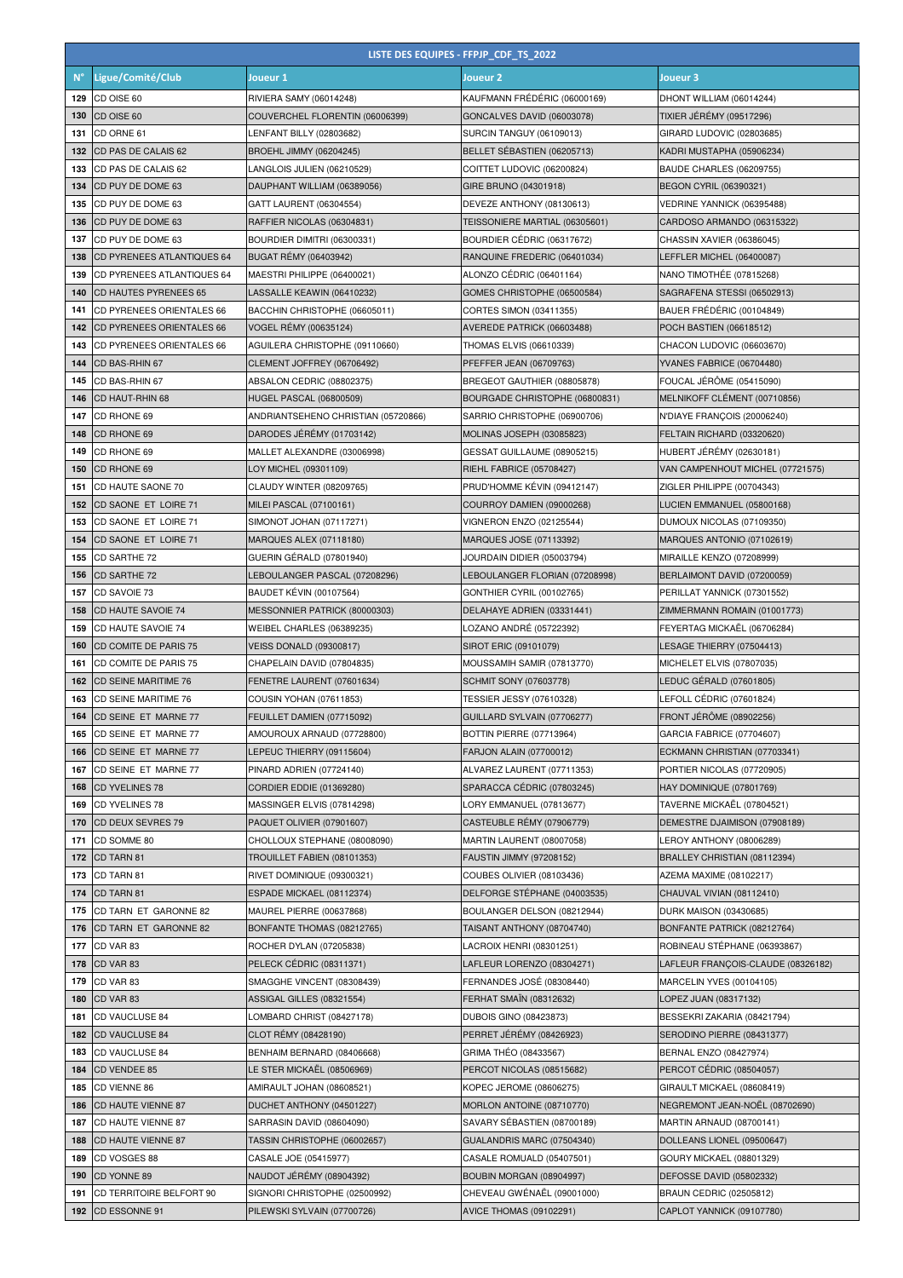|             | LISTE DES EQUIPES - FFPJP_CDF_TS_2022               |                                                       |                                                           |                                                     |  |
|-------------|-----------------------------------------------------|-------------------------------------------------------|-----------------------------------------------------------|-----------------------------------------------------|--|
| $N^{\circ}$ | Ligue/Comité/Club                                   | Joueur 1                                              | Joueur <sub>2</sub>                                       | Joueur 3                                            |  |
| 129         | CD OISE 60                                          | RIVIERA SAMY (06014248)                               | KAUFMANN FRÉDÉRIC (06000169)                              | DHONT WILLIAM (06014244)                            |  |
| 130         | CD OISE 60                                          | COUVERCHEL FLORENTIN (06006399)                       | GONCALVES DAVID (06003078)                                | <b>TIXIER JÉRÉMY (09517296)</b>                     |  |
| 131         | CD ORNE 61                                          | LENFANT BILLY (02803682)                              | <b>SURCIN TANGUY (06109013)</b>                           | GIRARD LUDOVIC (02803685)                           |  |
| 132         | CD PAS DE CALAIS 62                                 | BROEHL JIMMY (06204245)                               | BELLET SÉBASTIEN (06205713)                               | KADRI MUSTAPHA (05906234)                           |  |
| 133         | CD PAS DE CALAIS 62                                 | LANGLOIS JULIEN (06210529)                            | COITTET LUDOVIC (06200824)                                | <b>BAUDE CHARLES (06209755)</b>                     |  |
| 134         | CD PUY DE DOME 63                                   | DAUPHANT WILLIAM (06389056)                           | GIRE BRUNO (04301918)                                     | BEGON CYRIL (06390321)                              |  |
| 135         | CD PUY DE DOME 63                                   | GATT LAURENT (06304554)                               | DEVEZE ANTHONY (08130613)                                 | VEDRINE YANNICK (06395488)                          |  |
| 136         | CD PUY DE DOME 63                                   | RAFFIER NICOLAS (06304831)                            | TEISSONIERE MARTIAL (06305601)                            | CARDOSO ARMANDO (06315322)                          |  |
| 137         | CD PUY DE DOME 63                                   | BOURDIER DIMITRI (06300331)                           | BOURDIER CÉDRIC (06317672)                                | CHASSIN XAVIER (06386045)                           |  |
| 138         | CD PYRENEES ATLANTIQUES 64                          | <b>BUGAT RÉMY (06403942)</b>                          | RANQUINE FREDERIC (06401034)                              | LEFFLER MICHEL (06400087)                           |  |
| 139         | CD PYRENEES ATLANTIQUES 64                          | MAESTRI PHILIPPE (06400021)                           | ALONZO CÉDRIC (06401164)                                  | NANO TIMOTHÉE (07815268)                            |  |
| 140         | <b>CD HAUTES PYRENEES 65</b>                        | LASSALLE KEAWIN (06410232)                            | GOMES CHRISTOPHE (06500584)                               | SAGRAFENA STESSI (06502913)                         |  |
| 141         | CD PYRENEES ORIENTALES 66                           | BACCHIN CHRISTOPHE (06605011)                         | CORTES SIMON (03411355)                                   | BAUER FRÉDÉRIC (00104849)                           |  |
| 142         | CD PYRENEES ORIENTALES 66                           | VOGEL RÉMY (00635124)                                 | AVEREDE PATRICK (06603488)                                | POCH BASTIEN (06618512)                             |  |
| 143         | CD PYRENEES ORIENTALES 66                           | AGUILERA CHRISTOPHE (09110660)                        | THOMAS ELVIS (06610339)                                   | CHACON LUDOVIC (06603670)                           |  |
| 144         | CD BAS-RHIN 67                                      | CLEMENT JOFFREY (06706492)                            | PFEFFER JEAN (06709763)                                   | YVANES FABRICE (06704480)                           |  |
| 145         | CD BAS-RHIN 67                                      | ABSALON CEDRIC (08802375)                             | BREGEOT GAUTHIER (08805878)                               | FOUCAL JÉRÔME (05415090)                            |  |
| 146         | CD HAUT-RHIN 68                                     | <b>HUGEL PASCAL (06800509)</b>                        | BOURGADE CHRISTOPHE (06800831)                            | MELNIKOFF CLÉMENT (00710856)                        |  |
| 147         | CD RHONE 69                                         | ANDRIANTSEHENO CHRISTIAN (05720866)                   | SARRIO CHRISTOPHE (06900706)                              | N'DIAYE FRANÇOIS (20006240)                         |  |
| 148         | CD RHONE 69                                         | DARODES JEREMY (01703142)                             | MOLINAS JOSEPH (03085823)                                 | FELTAIN RICHARD (03320620)                          |  |
| 149         | CD RHONE 69                                         | MALLET ALEXANDRE (03006998)                           | GESSAT GUILLAUME (08905215)                               | HUBERT JÉRÉMY (02630181)                            |  |
| 150         | CD RHONE 69                                         | LOY MICHEL (09301109)                                 | RIEHL FABRICE (05708427)                                  | VAN CAMPENHOUT MICHEL (07721575)                    |  |
| 151         | CD HAUTE SAONE 70                                   | CLAUDY WINTER (08209765)                              | PRUD'HOMME KÉVIN (09412147)                               | ZIGLER PHILIPPE (00704343)                          |  |
| 152         | CD SAONE ET LOIRE 71                                | MILEI PASCAL (07100161)                               | <b>COURROY DAMIEN (09000268)</b>                          | LUCIEN EMMANUEL (05800168)                          |  |
| 153         | CD SAONE ET LOIRE 71                                | SIMONOT JOHAN (07117271)                              | VIGNERON ENZO (02125544)                                  | DUMOUX NICOLAS (07109350)                           |  |
| 154         | CD SAONE ET LOIRE 71                                | MARQUES ALEX (07118180)                               | MARQUES JOSE (07113392)                                   | MARQUES ANTONIO (07102619)                          |  |
| 155         | CD SARTHE 72                                        | GUERIN GÉRALD (07801940)                              | JOURDAIN DIDIER (05003794)                                | MIRAILLE KENZO (07208999)                           |  |
| 156         | CD SARTHE 72                                        | LEBOULANGER PASCAL (07208296)                         | LEBOULANGER FLORIAN (07208998)                            | BERLAIMONT DAVID (07200059)                         |  |
| 157         | CD SAVOIE 73                                        | <b>BAUDET KÉVIN (00107564)</b>                        | GONTHIER CYRIL (00102765)                                 | PERILLAT YANNICK (07301552)                         |  |
| 158         | CD HAUTE SAVOIE 74                                  | MESSONNIER PATRICK (80000303)                         | DELAHAYE ADRIEN (03331441)                                | ZIMMERMANN ROMAIN (01001773)                        |  |
| 159         | CD HAUTE SAVOIE 74                                  | WEIBEL CHARLES (06389235)                             | LOZANO ANDRÉ (05722392)                                   | FEYERTAG MICKAËL (06706284)                         |  |
| 160         | CD COMITE DE PARIS 75                               | <b>VEISS DONALD (09300817)</b>                        | SIROT ERIC (09101079)                                     | LESAGE THIERRY (07504413)                           |  |
| 161         | CD COMITE DE PARIS 75                               | CHAPELAIN DAVID (07804835)                            | MOUSSAMIH SAMIR (07813770)                                | MICHELET ELVIS (07807035)                           |  |
| 162<br>163  | <b>CD SEINE MARITIME 76</b><br>CD SEINE MARITIME 76 | FENETRE LAURENT (07601634)<br>COUSIN YOHAN (07611853) | <b>SCHMIT SONY (07603778)</b><br>TESSIER JESSY (07610328) | LEDUC GÉRALD (07601805)<br>LEFOLL CÉDRIC (07601824) |  |
| 164         | CD SEINE ET MARNE 77                                | FEUILLET DAMIEN (07715092)                            | GUILLARD SYLVAIN (07706277)                               | FRONT JÉRÔME (08902256)                             |  |
| 165         | CD SEINE ET MARNE 77                                | AMOUROUX ARNAUD (07728800)                            | BOTTIN PIERRE (07713964)                                  | GARCIA FABRICE (07704607)                           |  |
| 166         | CD SEINE ET MARNE 77                                | LEPEUC THIERRY (09115604)                             | <b>FARJON ALAIN (07700012)</b>                            | ECKMANN CHRISTIAN (07703341)                        |  |
| 167         | CD SEINE ET MARNE 77                                | PINARD ADRIEN (07724140)                              | ALVAREZ LAURENT (07711353)                                | PORTIER NICOLAS (07720905)                          |  |
| 168         | CD YVELINES 78                                      | CORDIER EDDIE (01369280)                              | SPARACCA CÉDRIC (07803245)                                | HAY DOMINIQUE (07801769)                            |  |
| 169         | CD YVELINES 78                                      | MASSINGER ELVIS (07814298)                            | ORY EMMANUEL (07813677)                                   | TAVERNE MICKAËL (07804521)                          |  |
| 170         | CD DEUX SEVRES 79                                   | PAQUET OLIVIER (07901607)                             | CASTEUBLE RÉMY (07906779)                                 | DEMESTRE DJAIMISON (07908189)                       |  |
| 171         | CD SOMME 80                                         | CHOLLOUX STEPHANE (08008090)                          | MARTIN LAURENT (08007058)                                 | LEROY ANTHONY (08006289)                            |  |
| 172         | CD TARN 81                                          | TROUILLET FABIEN (08101353)                           | <b>FAUSTIN JIMMY (97208152)</b>                           | BRALLEY CHRISTIAN (08112394)                        |  |
| 173         | CD TARN 81                                          | RIVET DOMINIQUE (09300321)                            | COUBES OLIVIER (08103436)                                 | AZEMA MAXIME (08102217)                             |  |
| 174         | CD TARN 81                                          | ESPADE MICKAEL (08112374)                             | DELFORGE STÉPHANE (04003535)                              | CHAUVAL VIVIAN (08112410)                           |  |
| 175         | CD TARN ET GARONNE 82                               | MAUREL PIERRE (00637868)                              | BOULANGER DELSON (08212944)                               | DURK MAISON (03430685)                              |  |
| 176         | CD TARN ET GARONNE 82                               | BONFANTE THOMAS (08212765)                            | TAISANT ANTHONY (08704740)                                | BONFANTE PATRICK (08212764)                         |  |
| 177         | CD VAR 83                                           | ROCHER DYLAN (07205838)                               | LACROIX HENRI (08301251)                                  | ROBINEAU STÉPHANE (06393867)                        |  |
| 178         | CD VAR 83                                           | PELECK CÉDRIC (08311371)                              | LAFLEUR LORENZO (08304271)                                | LAFLEUR FRANÇOIS-CLAUDE (08326182)                  |  |
| 179         | CD VAR 83                                           | SMAGGHE VINCENT (08308439)                            | FERNANDES JOSÉ (08308440)                                 | MARCELIN YVES (00104105)                            |  |
| 180         | CD VAR 83                                           | ASSIGAL GILLES (08321554)                             | FERHAT SMAÏN (08312632)                                   | LOPEZ JUAN (08317132)                               |  |
| 181         | CD VAUCLUSE 84                                      | LOMBARD CHRIST (08427178)                             | DUBOIS GINO (08423873)                                    | BESSEKRI ZAKARIA (08421794)                         |  |
| 182         | <b>CD VAUCLUSE 84</b>                               | CLOT REMY (08428190)                                  | PERRET JEREMY (08426923)                                  | SERODINO PIERRE (08431377)                          |  |
| 183         | CD VAUCLUSE 84                                      | BENHAIM BERNARD (08406668)                            | GRIMA THÉO (08433567)                                     | BERNAL ENZO (08427974)                              |  |
| 184         | CD VENDEE 85                                        | LE STER MICKAËL (08506969)                            | PERCOT NICOLAS (08515682)                                 | PERCOT CÉDRIC (08504057)                            |  |
| 185         | CD VIENNE 86                                        | AMIRAULT JOHAN (08608521)                             | KOPEC JEROME (08606275)                                   | GIRAULT MICKAEL (08608419)                          |  |
| 186         | <b>CD HAUTE VIENNE 87</b>                           | DUCHET ANTHONY (04501227)                             | MORLON ANTOINE (08710770)                                 | NEGREMONT JEAN-NOËL (08702690)                      |  |
| 187         | CD HAUTE VIENNE 87                                  | SARRASIN DAVID (08604090)                             | SAVARY SÉBASTIEN (08700189)                               | MARTIN ARNAUD (08700141)                            |  |
| 188         | CD HAUTE VIENNE 87                                  | TASSIN CHRISTOPHE (06002657)                          | GUALANDRIS MARC (07504340)                                | DOLLEANS LIONEL (09500647)                          |  |
| 189         | CD VOSGES 88                                        | CASALE JOE (05415977)                                 | CASALE ROMUALD (05407501)                                 | GOURY MICKAEL (08801329)                            |  |
| 190         | CD YONNE 89                                         | NAUDOT JÉRÉMY (08904392)                              | BOUBIN MORGAN (08904997)                                  | <b>DEFOSSE DAVID (05802332)</b>                     |  |
| 191         | CD TERRITOIRE BELFORT 90                            | SIGNORI CHRISTOPHE (02500992)                         | CHEVEAU GWÉNAËL (09001000)                                | <b>BRAUN CEDRIC (02505812)</b>                      |  |
| 192         | CD ESSONNE 91                                       | PILEWSKI SYLVAIN (07700726)                           | <b>AVICE THOMAS (09102291)</b>                            | CAPLOT YANNICK (09107780)                           |  |